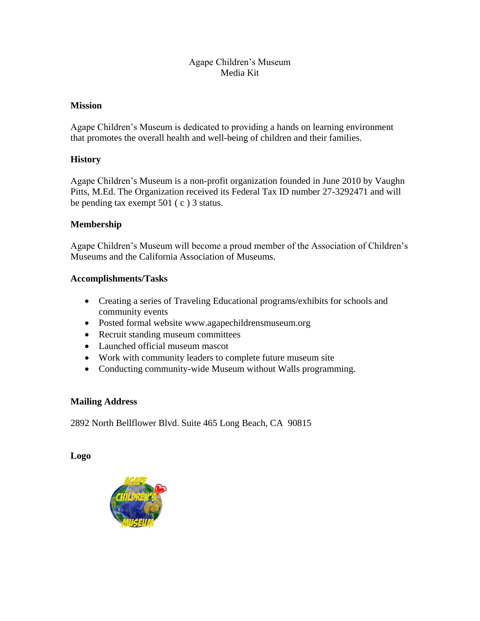## Agape Children's Museum Media Kit

### **Mission**

Agape Children's Museum is dedicated to providing a hands on learning environment that promotes the overall health and well-being of children and their families.

## **History**

Agape Children's Museum is a non-profit organization founded in June 2010 by Vaughn Pitts, M.Ed. The Organization received its Federal Tax ID number 27-3292471 and will be pending tax exempt 501 ( c ) 3 status.

### **Membership**

Agape Children's Museum will become a proud member of the Association of Children's Museums and the California Association of Museums.

### **Accomplishments/Tasks**

- Creating a series of Traveling Educational programs/exhibits for schools and community events
- Posted formal website www.agapechildrensmuseum.org
- Recruit standing museum committees
- Launched official museum mascot
- Work with community leaders to complete future museum site
- Conducting community-wide Museum without Walls programming.

## **Mailing Address**

2892 North Bellflower Blvd. Suite 465 Long Beach, CA 90815

#### **Logo**